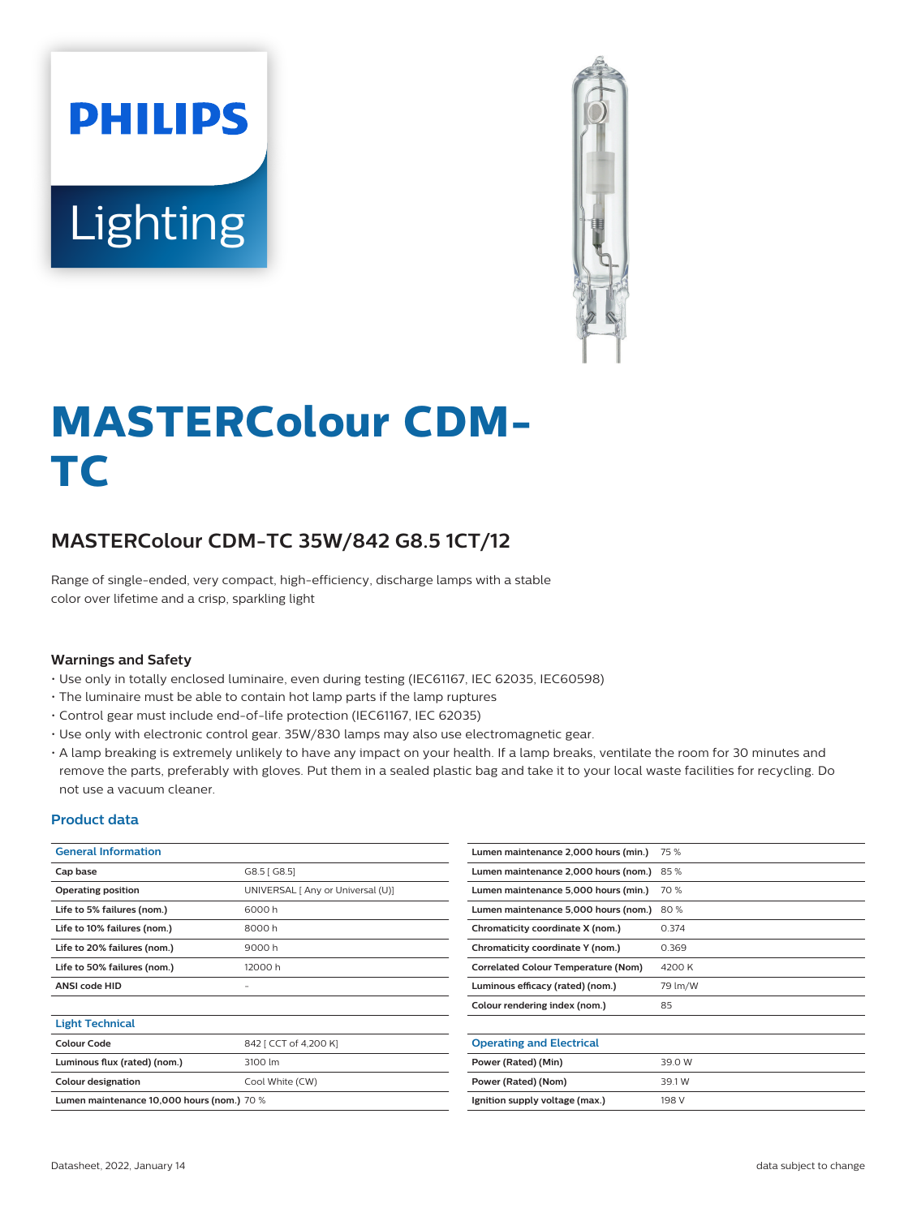



# **MASTERColour CDM-TC**

## **MASTERColour CDM-TC 35W/842 G8.5 1CT/12**

Range of single-ended, very compact, high-efficiency, discharge lamps with a stable color over lifetime and a crisp, sparkling light

#### **Warnings and Safety**

- Use only in totally enclosed luminaire, even during testing (IEC61167, IEC 62035, IEC60598)
- The luminaire must be able to contain hot lamp parts if the lamp ruptures
- Control gear must include end-of-life protection (IEC61167, IEC 62035)
- Use only with electronic control gear. 35W/830 lamps may also use electromagnetic gear.
- A lamp breaking is extremely unlikely to have any impact on your health. If a lamp breaks, ventilate the room for 30 minutes and remove the parts, preferably with gloves. Put them in a sealed plastic bag and take it to your local waste facilities for recycling. Do not use a vacuum cleaner.

#### **Product data**

| <b>General Information</b>                 |                                   | Lumen maintenance 2,000 hours (min.)       | 75 %    |
|--------------------------------------------|-----------------------------------|--------------------------------------------|---------|
| Cap base                                   | G8.5 [ G8.5]                      | Lumen maintenance 2,000 hours (nom.) 85 %  |         |
| <b>Operating position</b>                  | UNIVERSAL [ Any or Universal (U)] | Lumen maintenance 5,000 hours (min.)       | 70 %    |
| Life to 5% failures (nom.)                 | 6000h                             | Lumen maintenance 5,000 hours (nom.)       | 80%     |
| Life to 10% failures (nom.)                | 8000h                             | Chromaticity coordinate X (nom.)           | 0.374   |
| Life to 20% failures (nom.)                | 9000h                             | Chromaticity coordinate Y (nom.)           | 0.369   |
| Life to 50% failures (nom.)                | 12000 h                           | <b>Correlated Colour Temperature (Nom)</b> | 4200 K  |
| <b>ANSI code HID</b>                       | -                                 | Luminous efficacy (rated) (nom.)           | 79 lm/W |
|                                            |                                   | Colour rendering index (nom.)              | 85      |
| <b>Light Technical</b>                     |                                   |                                            |         |
| <b>Colour Code</b>                         | 842 [ CCT of 4,200 K]             | <b>Operating and Electrical</b>            |         |
| Luminous flux (rated) (nom.)               | 3100 lm                           | Power (Rated) (Min)                        | 39.0 W  |
| <b>Colour designation</b>                  | Cool White (CW)                   | Power (Rated) (Nom)                        | 39.1 W  |
| Lumen maintenance 10,000 hours (nom.) 70 % |                                   | Ignition supply voltage (max.)             | 198 V   |
|                                            |                                   |                                            |         |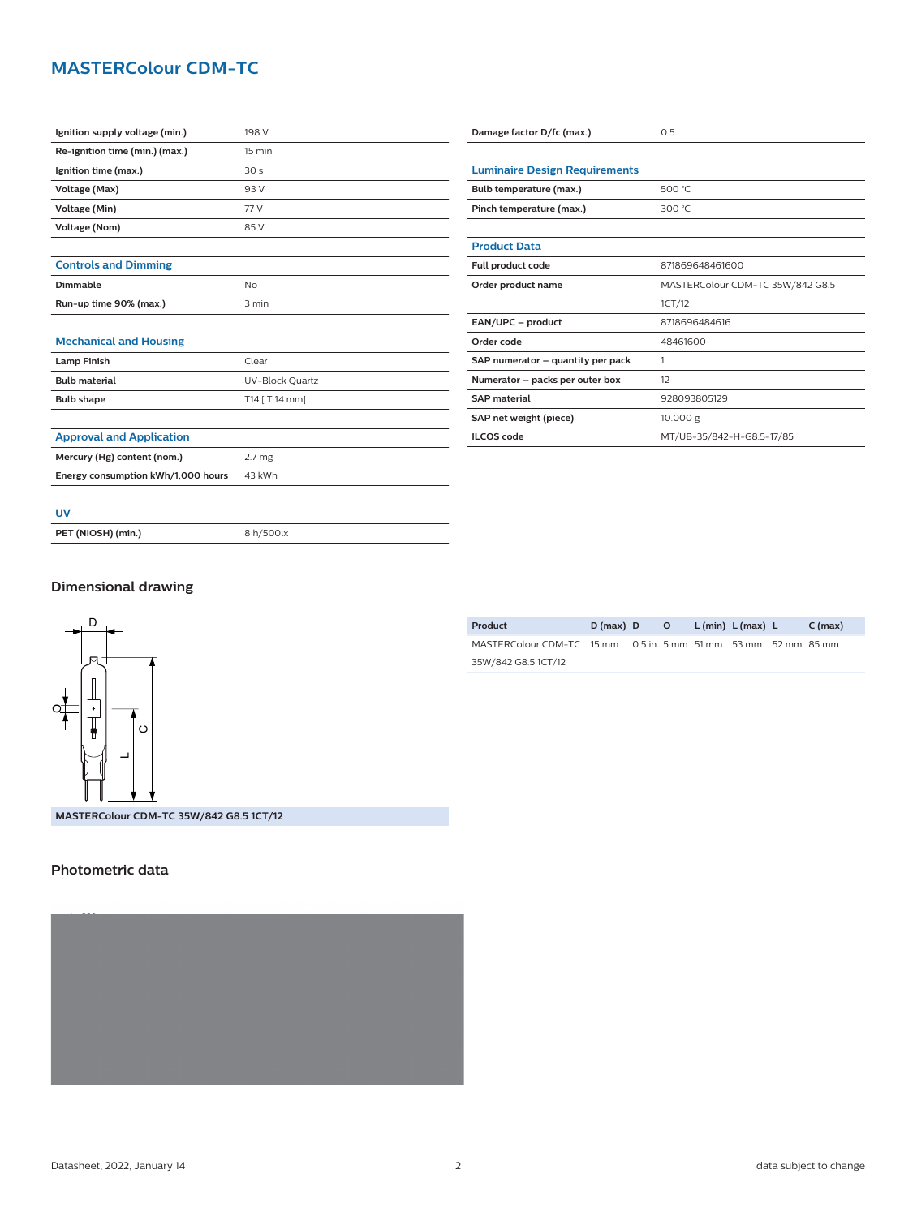## **MASTERColour CDM-TC**

| Damage factor D/fc (max.)            | 0.5                              |  |  |  |  |
|--------------------------------------|----------------------------------|--|--|--|--|
|                                      |                                  |  |  |  |  |
| <b>Luminaire Design Requirements</b> |                                  |  |  |  |  |
| Bulb temperature (max.)              | 500 °C                           |  |  |  |  |
| Pinch temperature (max.)             | 300 °C                           |  |  |  |  |
|                                      |                                  |  |  |  |  |
| <b>Product Data</b>                  |                                  |  |  |  |  |
| Full product code                    | 871869648461600                  |  |  |  |  |
| Order product name                   | MASTERColour CDM-TC 35W/842 G8.5 |  |  |  |  |
|                                      | 1CT/12                           |  |  |  |  |
| EAN/UPC - product                    | 8718696484616                    |  |  |  |  |
| Order code                           | 48461600                         |  |  |  |  |
| SAP numerator - quantity per pack    | 1                                |  |  |  |  |
| Numerator - packs per outer box      | 12                               |  |  |  |  |
| <b>SAP</b> material                  | 928093805129                     |  |  |  |  |
| SAP net weight (piece)               | 10.000 g                         |  |  |  |  |
| <b>ILCOS</b> code                    | MT/UB-35/842-H-G8.5-17/85        |  |  |  |  |

## **Dimensional drawing**

**PET (NIOSH) (min.)** 8 h/500lx



**MASTERColour CDM-TC 35W/842 G8.5 1CT/12**

### **Photometric data**



| Product                                                       | $D(max)$ D |  | O L(min) L(max) L | C (max) |
|---------------------------------------------------------------|------------|--|-------------------|---------|
| MASTERColour CDM-TC 15 mm 0.5 in 5 mm 51 mm 53 mm 52 mm 85 mm |            |  |                   |         |
| 35W/842 G8.5 1CT/12                                           |            |  |                   |         |